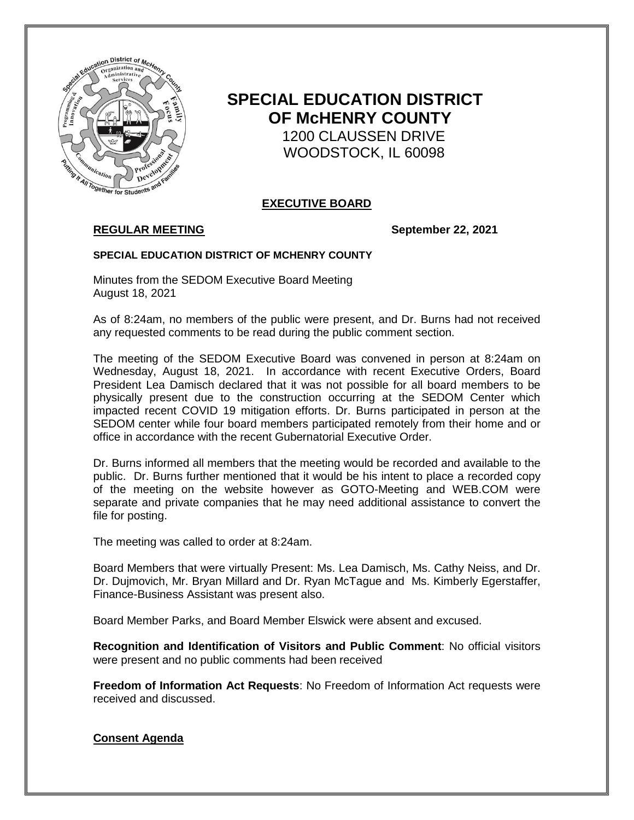

# **SPECIAL EDUCATION DISTRICT OF McHENRY COUNTY** 1200 CLAUSSEN DRIVE WOODSTOCK, IL 60098

## **EXECUTIVE BOARD**

## **REGULAR MEETING September 22, 2021**

### **SPECIAL EDUCATION DISTRICT OF MCHENRY COUNTY**

Minutes from the SEDOM Executive Board Meeting August 18, 2021

As of 8:24am, no members of the public were present, and Dr. Burns had not received any requested comments to be read during the public comment section.

The meeting of the SEDOM Executive Board was convened in person at 8:24am on Wednesday, August 18, 2021. In accordance with recent Executive Orders, Board President Lea Damisch declared that it was not possible for all board members to be physically present due to the construction occurring at the SEDOM Center which impacted recent COVID 19 mitigation efforts. Dr. Burns participated in person at the SEDOM center while four board members participated remotely from their home and or office in accordance with the recent Gubernatorial Executive Order.

Dr. Burns informed all members that the meeting would be recorded and available to the public. Dr. Burns further mentioned that it would be his intent to place a recorded copy of the meeting on the website however as GOTO-Meeting and WEB.COM were separate and private companies that he may need additional assistance to convert the file for posting.

The meeting was called to order at 8:24am.

Board Members that were virtually Present: Ms. Lea Damisch, Ms. Cathy Neiss, and Dr. Dr. Dujmovich, Mr. Bryan Millard and Dr. Ryan McTague and Ms. Kimberly Egerstaffer, Finance-Business Assistant was present also.

Board Member Parks, and Board Member Elswick were absent and excused.

**Recognition and Identification of Visitors and Public Comment**: No official visitors were present and no public comments had been received

**Freedom of Information Act Requests**: No Freedom of Information Act requests were received and discussed.

**Consent Agenda**